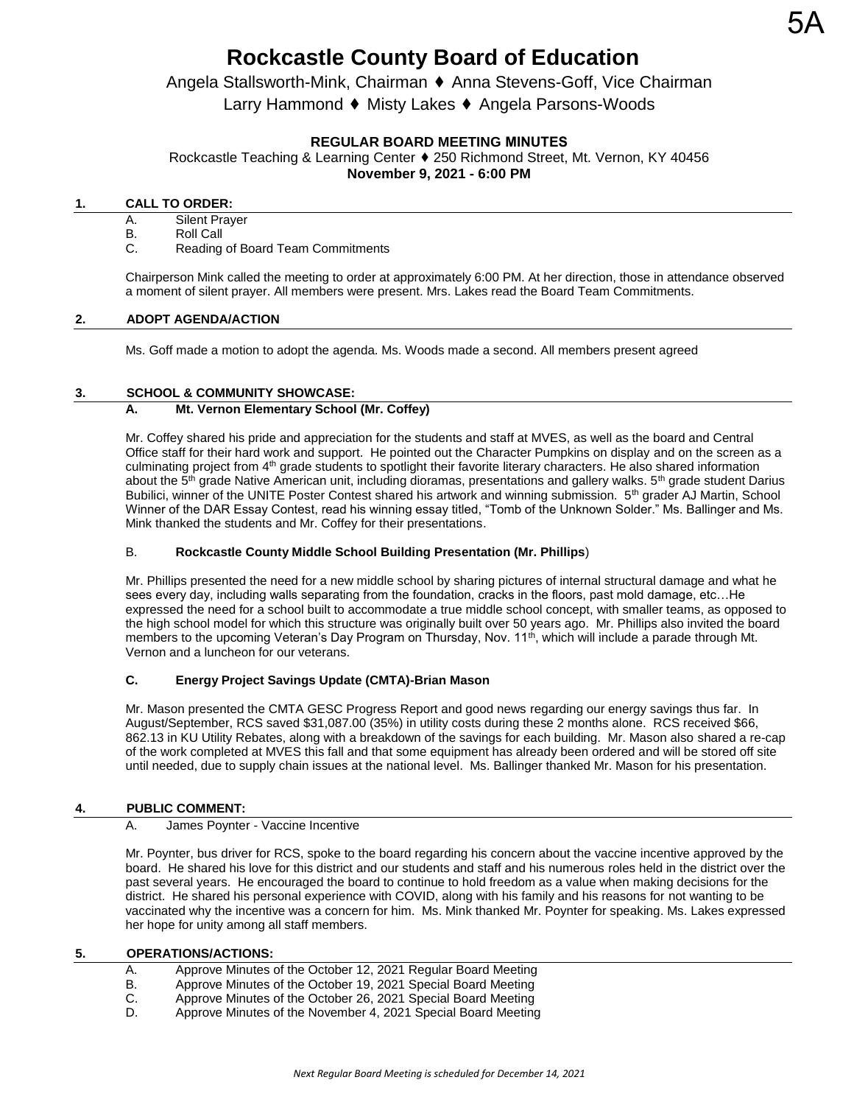# Angela Stallsworth-Mink, Chairman ⬧ Anna Stevens-Goff, Vice Chairman Larry Hammond ♦ Misty Lakes ♦ Angela Parsons-Woods

# **REGULAR BOARD MEETING MINUTES**

Rockcastle Teaching & Learning Center ♦ 250 Richmond Street, Mt. Vernon, KY 40456 **November 9, 2021 - 6:00 PM** 

# **1. CALL TO ORDER:**

- A. Silent Prayer
- B. Roll Call
- C. Reading of Board Team Commitments

Chairperson Mink called the meeting to order at approximately 6:00 PM. At her direction, those in attendance observed a moment of silent prayer. All members were present. Mrs. Lakes read the Board Team Commitments.

## **2. ADOPT AGENDA/ACTION**

Ms. Goff made a motion to adopt the agenda. Ms. Woods made a second. All members present agreed

## **3. SCHOOL & COMMUNITY SHOWCASE:**

## **A. Mt. Vernon Elementary School (Mr. Coffey)**

Mr. Coffey shared his pride and appreciation for the students and staff at MVES, as well as the board and Central Office staff for their hard work and support. He pointed out the Character Pumpkins on display and on the screen as a culminating project from 4<sup>th</sup> grade students to spotlight their favorite literary characters. He also shared information about the 5<sup>th</sup> grade Native American unit, including dioramas, presentations and gallery walks. 5<sup>th</sup> grade student Darius Bubilici, winner of the UNITE Poster Contest shared his artwork and winning submission. 5<sup>th</sup> grader AJ Martin, School Winner of the DAR Essay Contest, read his winning essay titled, "Tomb of the Unknown Solder." Ms. Ballinger and Ms. Mink thanked the students and Mr. Coffey for their presentations.

### B. **Rockcastle County Middle School Building Presentation (Mr. Phillips**)

Mr. Phillips presented the need for a new middle school by sharing pictures of internal structural damage and what he sees every day, including walls separating from the foundation, cracks in the floors, past mold damage, etc…He expressed the need for a school built to accommodate a true middle school concept, with smaller teams, as opposed to the high school model for which this structure was originally built over 50 years ago. Mr. Phillips also invited the board members to the upcoming Veteran's Day Program on Thursday, Nov. 11<sup>th</sup>, which will include a parade through Mt. Vernon and a luncheon for our veterans.

# **C. Energy Project Savings Update (CMTA)-Brian Mason**

Mr. Mason presented the CMTA GESC Progress Report and good news regarding our energy savings thus far. In August/September, RCS saved \$31,087.00 (35%) in utility costs during these 2 months alone. RCS received \$66, 862.13 in KU Utility Rebates, along with a breakdown of the savings for each building. Mr. Mason also shared a re-cap of the work completed at MVES this fall and that some equipment has already been ordered and will be stored off site until needed, due to supply chain issues at the national level. Ms. Ballinger thanked Mr. Mason for his presentation.

# **4. PUBLIC COMMENT:**

#### A. James Poynter - Vaccine Incentive

Mr. Poynter, bus driver for RCS, spoke to the board regarding his concern about the vaccine incentive approved by the board. He shared his love for this district and our students and staff and his numerous roles held in the district over the past several years. He encouraged the board to continue to hold freedom as a value when making decisions for the district. He shared his personal experience with COVID, along with his family and his reasons for not wanting to be vaccinated why the incentive was a concern for him. Ms. Mink thanked Mr. Poynter for speaking. Ms. Lakes expressed her hope for unity among all staff members.

# **5. OPERATIONS/ACTIONS:**

- A. Approve Minutes of the October 12, 2021 Regular Board Meeting
- B. Approve Minutes of the October 19, 2021 Special Board Meeting<br>C. Approve Minutes of the October 26, 2021 Special Board Meeting
- Approve Minutes of the October 26, 2021 Special Board Meeting
- D. Approve Minutes of the November 4, 2021 Special Board Meeting